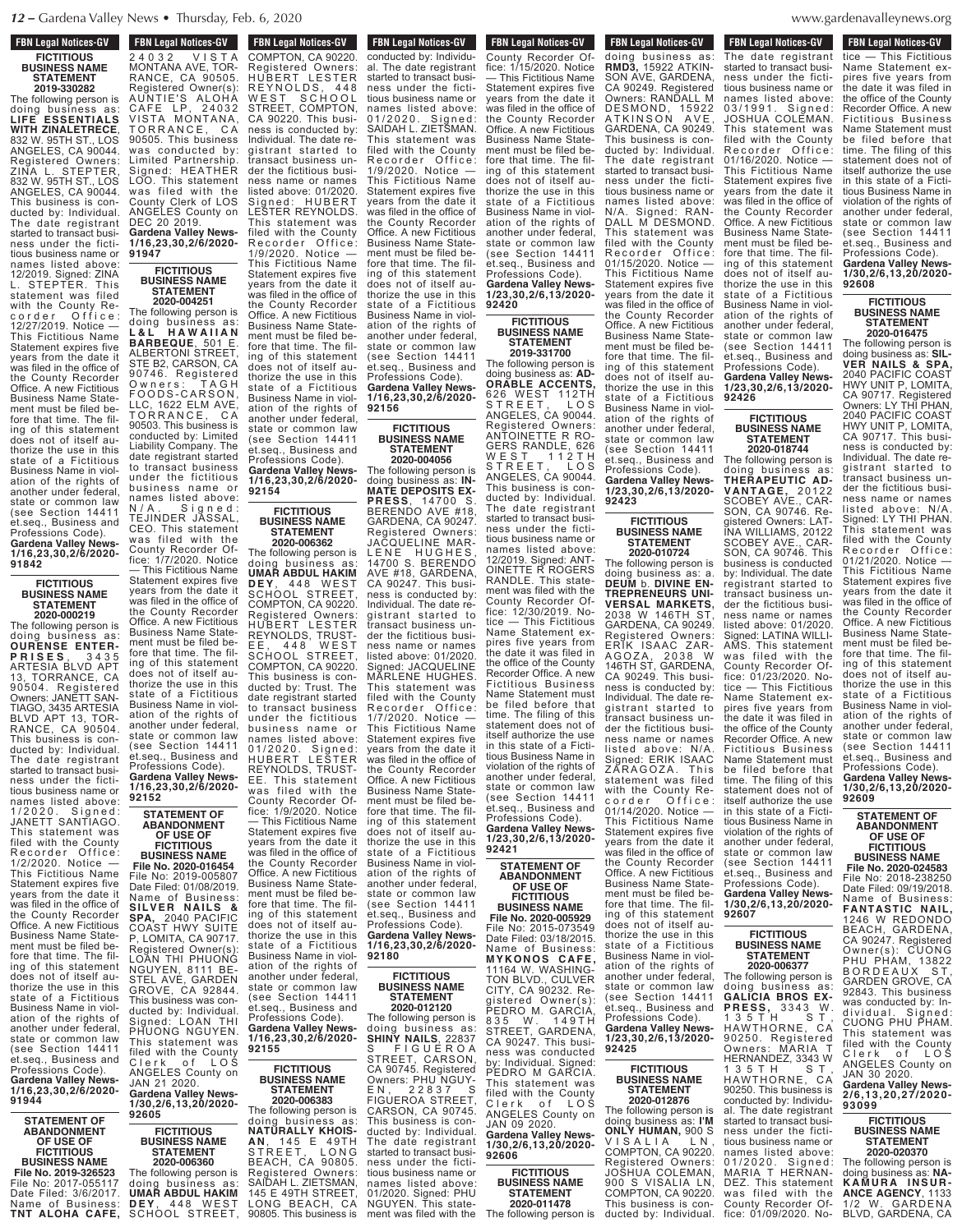**FBN Legal Notices-GV FICTITIOUS BUSINESS NAME STATEMENT**

**2019-330282** The following person is doing business as: **LIFE ESSENTIALS WITH ZINALETRECE**, 832 W. 95TH ST., LOS ANGELES, CA 90044. Registered Owners: ZINA L. STEPTER, 832 W. 95TH ST., LOS ANGELES, CA 90044. This business is conducted by: Individual. The date registrant started to transact business under the fictitious business name or names listed above: 12/2019. Signed: ZINA L. STEPTER. This statement was filed with the County Recorder Office: corder Office<br>12/27/2019 Notice -This Fictitious Name Statement expires five years from the date it was filed in the office of the County Recorder Office. A new Fictitious Business Name Statement must be filed before that time. The filing of this statement does not of itself authorize the use in this state of a Fictitious Business Name in violation of the rights of another under federal, state or common law (see Section 14411 et.seq., Business and Professions Code). **Gardena Valley News-1/16,23,30,2/6/2020-**

> **FICTITIOUS BUSINESS NAME STATEMENT 2020-000219**

**91842**

The following person is doing business as: **OURENSE ENTER-P R I S E S** , 3 4 3 5 ARTESIA BLVD APT TORRANCE, CA 90504. Registered Owners: JANETT SAN-TIAGO, 3435 ARTESIA BLVD APT 13, TOR-RANCE, CA 90504. This business is conducted by: Individual. The date registrant started to transact business under the fictitious business name or names listed above: 1 / 2 0 2 0 . S i g n e d : JANETT SANTIAGO. This statement was filed with the County Recorder Office: 1/2/2020. Notice — This Fictitious Name Statement expires five years from the date it was filed in the office of the County Recorder Office. A néw Fictitious Business Name Statement must be filed before that time. The filing of this statement does not of itself authorize the use in this state of a Fictitious Business Name in violation of the rights of another under federal, state or common law (see Section 14411 et.seq., Business and Professions Code). **Gardena Valley News-1/16,23,30,2/6/2020-**

**92605**

**STATEMENT OF ABANDONMENT OF USE OF FICTITIOUS BUSINESS NAME File No. 2019-326523** File No: 2017-055117 Date Filed: 3/6/2017. Name of Business: **DEY**, 448 WEST<br>**TNT ALOHA CAFE,** SCHOOL STREET,

**91944**

 $FBN$  Legal Notices-GV 2 4 0 3 2 V I S T A MONTANA AVE, TOR-RANCE, CA 90505. Registered Owner(s): AUNTIE'S ALOHA C AFE LP, 2 4 0 3 2 VISTA M ONTANA, TORRANCE, CA 90505. This business was conducted by: Limited Partnership. Signed: HEATHER LOO. This statement was filed with the County Clerk of LOS ANGELES County on DEC 20 2019. **Gardena Valley News-1/16,23,30,2/6/2020- 91947**

**FICTITIOUS BUSINESS NAME STATEMENT**

**2020-004251** The following person is doing business as: **L & L H A W A I I A N BARBEQUE**, 501 E. ALBERTONI STREET, STE B2, CARSON, CA 90746. Registered O w n e r s : T A G H F O O D S - C A R S O N , LLC, 1622 ELM AVE, TORRANCE, CA 90503. This business is conducted by: Limited Liability Company. The date registrant started to transact business under the fictitious business name or names listed above: N / A . Signed : TEJINDER JASSAL, CEO. This statement was filed with the County Recorder Office: 1/7/2020. Notice **92154**

— This Fictitious Name Statement expires five years from the date it was filed in the office of the County Recorder Office. A new Fictitious Business Name Statement must be filed before that time. The filing of this statement does not of itself authorize the use in this state of a Fictitious Business Name in violation of the rights of another under federal, state or common law (see Section 14411 et.seq., Business and Professions Code). **Gardena Valley News-1/16,23,30,2/6/2020- 92152**

#### **STATEMENT OF ABANDONMENT OF USE OF FICTITIOUS**

**BUSINESS NAME File No. 2020-016454** File No: 2019-005807 Date Filed: 01/08/2019. Name of Business: **SILVE R N A ILS & SPA,** 2040 PACIFIC COAST HWY SUITE P, LOMITA, CA 90717. Registered Owner(s): LOAN THI PHUONG NGUYEN, 8111 BE-STEL AVE, GARDEN GROVE, CA 92844. This business was conducted by: Individual. Signed: LOAN THI Signed: LOAN THI<br>PHUONG NGUYEN. This statement was filed with the County Clerk of LOS

ANGELES County on JAN 21 2020. **Gardena Valley News-1/30,2/6,13,20/2020-**

**FICTITIOUS BUSINESS NAME STATEMENT 2020-006360** The following person is<br>doing business as: doing business as: **UMAR ABDUL HAKIM**

SCHOOL STREET,

**FBN Legal Notices-GV FOR LEGAL NUMBER OF** COMPTON, CA 90220. Registered Owners: HUBERT LESTER R E Y N O L D S , 4 4 8 WEST SCHOOL WEST SURVUL<br>STREET, COMPTON, CA 90220. This business is conducted by: Individual. The date registrant started to transact business under the fictitious business name or names listed above: 01/2020. Signed: HUBERT LESTER REYNOLDS. This statement was filed with the County Recorder Office: 1/9/2020. Notice —

This Fictitious Name Statement expires five years from the date it was filed in the office of the County Recorder Office. A new Fictitious Business Name Statement must be filed before that time. The filing of this statement does not of itself authorize the use in this state of a Fictitious Business Name in violation of the rights of another under federal, state or common law (see Section 14411 et.seq., Business and Professions Code). **Gardena Valley News-1/16,23,30,2/6/2020-**

#### **FICTITIOUS BUSINESS NAME STATEMENT**

**2020-006362** The following person is<br>doing business as: doing business as: **UMAR ABDUL HAKIM D E Y** , 4 4 8 W E S T SCHOOL STREET, COMPTON, CA 90220. Registered Owners: HUBERT LESTER REYNOLDS, TRUST-<br>EE, 448 WEST E E , 4 4 8 W E S T SCHOOL STREET, COMPTON, CA 90220. This business is conducted by: Trust. The date registrant started to transact business under the fictitious business name or names listed above: 01/2020. Signed: HUBERT LESTER REYNOLDS, TRUST-This statement was filed with the County Recorder Office: 1/9/2020. Notice — This Fictitious Name Statement expires five

years from the date it was filed in the office of the County Recorder Office. A new Fictitious Business Name Statement must be filed be-fore that time. The filing of this statement does not of itself authorize the use in this state of a Fictitious Business Name in violation of the rights of another under federal, state or common law (see Section 14411 et.seq., Business and Professions Code). **Gardena Valley News-1/16,23,30,2/6/2020- 92155**

#### **FICTITIOUS BUSINESS NAME STATEMENT 2020-006383**

The following person is doing business as: **NATURALLY KHOIS-A N** , 1 4 5 E 4 9 T H STREET, LONG BEACH, CA 90805. Registered Owners: SAIDAH L. ZIETSMAN, 145 E 49TH STREET, LONG BEACH, CA 90805. This business is

**FBN Legal Notices-GV PDN Legal Nutiles-GV** conducted by: Individual. The date registrant started to transact business under the fictitious business name or names listed above: 01/2020. Signed: SAIDAH L. ZIETSMAN. This statement was filed with the County Recorder Office: 1/9/2020. Notice — This Fictitious Name Statement expires five years from the date it was filed in the office of the County Recorder Office. A néw Fictitious Business Name Statement must be filed before that time. The filing of this statement does not of itself authorize the use in this state of a Fictitious Business Name in violation of the rights of another under federal, state or common law (see Section 14411 et.seq., Business and Professions Code). **Gardena Valley News-1/16,23,30,2/6/2020-**

#### **FICTITIOUS BUSINESS NAME STATEMENT 2020-004056**

**92156**

The following person is doing business as: **IN-MATE DEPOSITS EX-PRESS**, 14700 S. BERENDO AVE #18, GARDENA, CA 90247. Registered Owners: JACQUELINE MAR-LENE HUGHES, 14700 S. BERENDO AVE #18, GARDENA, CA 90247. This business is conducted by: Individual. The date registrant started to transact business under the fictitious business name or names listed above: 01/2020. Signed: JACQUELINE MARLENE HUGHES. This statement was filed with the County Recorder Office: 1/7/2020. Notice — This Fictitious Name Statement expires five years from the date it was filed in the office of the County Recorder Office. A new Fictitious Business Name Statement must be filed before that time. The filing of this statement does not of itself authorize the use in this state of a Fictitious Business Name in violation of the rights of another under federal, state or common law (see Section 14411 et.seq., Business and Professions Code). **Gardena Valley News-1/16,23,30,2/6/2020- 92180**

#### **FICTITIOUS BUSINESS NAME STATEMENT**

**2020-012120** The following person is doing business as: **SHINY NAILS**, 22837 S FIGUEROA STREET, CARSON, CA 90745. Registered Owners: PHU NGUY-E N , 2 2 8 3 7 S FIGUEROA STREET, CARSON, CA 90745. This business is conducted by: Individual. The date registrant started to transact business under the fictitious business name or names listed above: 01/2020. Signed: PHU<br>NGUYEN. This state-

**FBN Legal Notices-GV FILED WAS FIRE WAS FIRE WITH THE WAS FILM** County Recorder Of- fice: 1/15/2020. Notice — This Fictitious Name Statement expires five years from the date it was filed in the office of the County Recorder Office. A new Fictitious Business Name Statement must be filed before that time. The filing of this statement does not of itself authorize the use in this state of a Fictitious Business Name in violation of the rights of another under federal, state or common law (see Section 14411 et.seq., Business and Professions Code). **Gardena Valley News-**

**1/23,30,2/6,13/2020- 92420 FICTITIOUS BUSINESS NAME**

**STATEMENT 2019-331700** The following person is doing business as: **AD-ORABLE ACCENTS,** 626 WEST 112TH S T R E E T , L O S ANGELES, CA 90044. Registered Owners: ANTOINETTE R RO-GERS RANDLE, 626 W E S T 112 T H S T R E E T , L O S ANGELES, CA 90044. This business is conducted by: Individual. The date registrant started to transact business under the fictitious business name or names listed above: 12/2019. Signed: ANT-OINETTE R ROGERS RANDLE. This statement was filed with the County Recorder Office: 12/30/2019. Notice — This Fictitious Name Statement expires five years from the date it was filed in the office of the County Recorder Office. A new Fictitious Business Name Statement must be filed before that time. The filing of this statement does not of itself authorize the use in this state of a Fictitious Business Name in violation of the rights of another under federal, state or common law (see Section 14411 et.seq., Business and Professions Code). **Gardena Valley News-1/23,30,2/6,13/2020- 92421**

**STATEMENT OF ABANDONMENT OF USE OF**

**FICTITIOUS BUSINESS NAME File No. 2020-005929** File No: 2015-073549 Date Filed: 03/18/2015. Name of Business: **M Y KONOS C A FE,** 11164 W. WASHING-TON BLVD., CULVER CITY, CA 90232. Registered Owner(s) PEDRO M. GARCIA, 835 W. 149TH STREET, GARDENA, CA 90247. This business was conducted by: Individual. Signed: PEDRO <sup>M</sup> GARCIA. This statement was filed with the County Clerk of LOS ANGELES County on JAN 09 2020.

**Gardena Valley News-1/30,2/6,13,20/2020- 92606**

**FICTITIOUS BUSINESS NAME STATEMENT 2020-011478**

ment was filed with the

# **FBN Legal Notices-GV 2020-011478**

**The Following Person is a following person in the following person in the following person is a following person in the following person in the following person is a following person in the following person in the followi** 

doing business as: **RMD3,** 15922 ATKIN-SON AVE, GARDENA, CA 90249. Registered Owners: RANDALL M DESMOND, 15922 ATKINSON AVE, BESHOND, ISSE<br>ATKINSON AVE,<br>GARDENA, CA 90249. This business is conducted by: Individual. The date registrant started to transact business under the fictitious business name or names listed above: N/A. Signed: RAN-DALL M DESMOND. This statement was filed with the County<br>Recorder Office Recorder Office: 01/15/2020. Notice — This Fictitious Name Statement expires five years from the date it was filed in the office of the County Recorder Office. A néw Fictitious Business Name Statement must be filed before that time. The filing of this statement does not of itself authorize the use in this state of a Fictitious Business Name in violation of the rights of another under federal, state or common law (see Section 14411 et.seq., Business and Professions Code). **Gardena Valley News-1/23,30,2/6,13/2020-**

#### **FICTITIOUS BUSINESS NAME STATEMENT**

**92423**

**2020-010724** The following person is doing business as: a. **DEUM** b. **DIVINE EN-TREPRENEURS UNI-VERSAL MARKETS,** 2038 W 146TH ST, GARDENA, CA 90249. Registered Owners: ERIK ISAAC ZAR-AGOZA, 2038 W 146TH ST, GARDENA, CA 90249. This business is conducted by: Individual. The date registrant started to transact business under the fictitious business name or names listed above: N/A Signed: ERIK ISAAC<br>ZARAGOZA, This  $Z$ ĂRAGOZA. statement was filed with the County Recorder Office: 01/14/2020. Notice — This Fictitious Name Statement expires five years from the date it was filed in the office of the County Recorder Office. A new Fictitious Business Name Statement must be filed be-fore that time. The filing of this statement does not of itself authorize the use in this state of a Fictitious Business Name in violation of the rights of another under federal, state or common law (see Section 14411 et.seq., Business and Professions Code). **Gardena Valley News-1/23,30,2/6,13/2020-**

**92607**

 $1$  3 5 T H

namoo note

HAWTHORNE, CA 90250. This business is

al. The date registrant started to transact busi-

tious business name or

MARIA T HERNAN-DEZ. This statement

County Recorder Office: 01/09/2020. Notice — This Fictitious

**FICTITIOUS BUSINESS NAME STATEMENT 2020-006377** The following person is doing business as: **GALICIA BROS EX-P R ESS,** 3 3 4 3 W . 135 T H S T , HAWTHORNE, CA 90250. Registered<br>Owners: MARIA T MARIA HERNANDEZ, 3343 W

#### **FICTITIOUS BUSINESS NAME STATEMENT 2020-012876**

**92425**

**2020-011478** This business is con-<br>The following person is ducted by: Individual. The following person is doing business as: **I'M ONLY HUMAN,** 900 S VISALIA LN, COMPTON, CA 90220. Registered Owners: JOSHUA COLEMAN, 900 S VISALIA LN, COMPTON, CA 90220. conducted by: Individuness under the fictinames listed above:<br>01/2020. Signed: DEZ. This statement<br>was filed with the

#### www.ga Compton, Canada et al., Canada et al., Canada et al., Canada et al., Canada et al., Canada et al., Canada et a denavalleynews.org was finite  $\mu$  is the first of  $\sigma$

**FBN Legal Notices-GV DUCTED EXECUTED DUCES-GV** The date registrant started to transact business under the fictitious business name or names listed above: 03/1991. Signed: JOSHUA COLEMAN. This statement was filed with the County<br>Recorder Office: Recorder Office: 01/16/2020. Notice — This Fictitious Name Statement expires five years from the date it was filed in the office of the County Recorder Office. A new Fictitious Business Name Statement must be filed be-**FBN Legal Notices-GV FIGURE: 12020**<br>FIGURE tice — This Fictitious Name Statement expires five years from the date it was filed in the office of the County Recorder Office. A new Fictitious Business Name Statement must be filed before that time. The filing of this statement does not of itself authorize the use in this state of a Ficti-

fore that time. The filing of this statement does not of itself authorize the use in this state of a Fictitious Business Name in violation of the rights of another under federal, state or common law (see Section 14411 et.seq., Business and Professions Code). **Gardena Valley** Ne **1/23,30,2/6,13/2020-**

**FICTITIOUS BUSINESS NAME STATEMENT 2020-018744** The following person is doing business as: **THERAPEUTIC AD-V A N T AGE,** 2 0 1 2 2 SCOBEY AVE., CAR-SON, CA 90746. Registered Owners: LAT-INA WILLIAMS, 20122 SCOBEY AVE., CAR-SON, CA 90746. This business is conducted by: Individual. The date registrant started to transact business under the fictitious business name or names listed above: 01/2020. Signed: LATINA WILLI-AMS. This statement was filed with the County Recorder Office: 01/23/2020. Notice — This Fictitious Name Statement expires five years from the date it was filed in the office of the County Recorder Office. A new Fictitious Business Name Statement must be filed before that time. The filing of this statement does not of itself authorize the use in this state of a Fictitious Business Name in violation of the rights of another under federal, state or common law (see Section 14411 et.seq., Business and Professions Code). **Gardena Valley News-1/30,2/6,13,20/2020-**

**92426**

tious Business Name in violation of the rights of another under federal, state or common law (see Section 14411 et.seq., Business and Professions Code). **Gardena Valley News-1/30,2/6,13,20/2020-**

#### **FICTITIOUS BUSINESS NAME STATEMENT 2020-016475**

**92608**

The following person is doing business as: **SIL-VER NAILS & SPA,** 2040 PACIFIC COAST HWY UNIT P, LOMITA, CA 90717. Registered Owners: LY THI PHAN, 2040 PACIFIC COAST HWY UNIT P, LOMITA, CA 90717. This business is conducted by: Individual. The date registrant started to transact business under the fictitious business name or names listed above: N/A. Signed: LY THI PHAN. This statement was filed with the County<br>Recorder Office: Recorder 01/21/2020. Notice — This Fictitious Name Statement expires five years from the date it was filed in the office of the County Recorder Office. A new Fictitious Business Name Statement must be filed before that time. The filing of this statement does not of itself authorize the use in this state of a Fictitious Business Name in violation of the rights of another under federal, state or common law (see Section 14411 et.seq., Business and Professions Code). **Gardena Valley News-1/30,2/6,13,20/2020- 92609**

> **STATEMENT OF ABANDONMENT OF USE OF**

#### **FICTITIOUS BUSINESS NAME**

**File No. 2020-024583** File No: 2020-024303<br>File No: 2018-238250<br>Date Filed: 09/19/2018. Date Filediana **FANTASTIC NAIL,** 1246 W REDONDO BEACH, GARDENA, CA 90247. Registered Owner(s): CUONG PHU PHAM, 13822 BORDEAUX ST, GARDEN GROVE, CA 92843. This business was conducted by: Individual. Signed: CUONG PHU PHAM. This statement was filed with the County Clerk of LOS ANGELES County on

JAN 30 2020. **Gardena Valley News-2/6,13,20,27/2020- 93099**

#### **FICTITIOUS BUSINESS NAME STATEMENT 2020-020370**

The following person is doing business as: **NA-K A M U R A I N S U R - ANCE AGENCY**, 1133 1/2 W. GARDENA BLVD, GARDENA, CA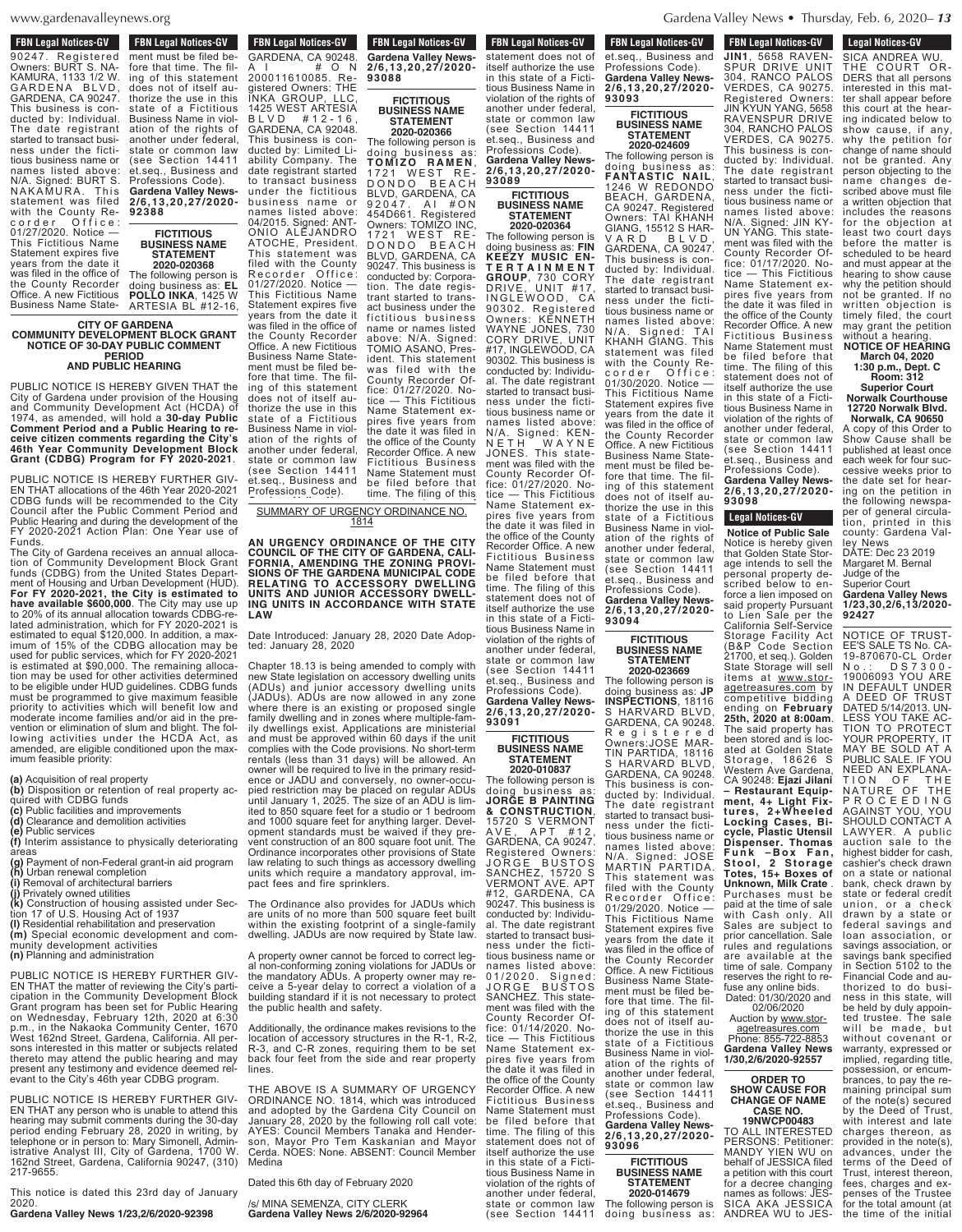**MAAW** gardenavalley www.gardenavalleynews.org  $\mathcal{L}$ 

**FBN Legal Notices-GV FDN LEYAI NULLES-GV** 90247. Registered Owners: BURT S. NA-KAMURA, 1133 1/2 W. GARDENA BLVD, GARDENA, CA 90247. This business is conducted by: Individual. The date registrant started to transact business under the fictitious business name or names listed above:<br>N/A. Signed: BURT S. N/A. Signed: BURT S. NAKAMURA. This statement was filed with the County Recorder Office: 01/27/2020. Notice — This Fictitious Name Statement expires five years from the date it was filed in the office of the County Recorder Office. A new Fictitious Business Name State-

#### **CITY OF GARDENA COMMUNITY DEVELOPMENT BLOCK GRANT NOTICE OF 30-DAY PUBLIC COMMENT PERIOD** ment must be filed by the filed be- $\begin{array}{r} \n \text{CITY OF} \n \end{array}$ **COMMUNITY DEVELO** NOTICE OF 30-DA' thorize the use in this paper.  $\overline{\phantom{a}}$ A I # O N 200011610085. Re-**QUELIC COMMENT**  $\overline{OD}$

#### **AND PUBLIC HEARING**

PUBLIC NOTICE IS HEREBY GIVEN THAT the City of Gardena under provision of the Housing and Community Development Act (HCDA) of 1974, as amended, will hold a 30-day Public<br>Comment Period and a Public Hearing to re**ceive citizen comments regarding the City's** ceive citizen comments regarding the City's<br>46th Year Community Development Block **Grant (CDBG) Program for FY 2020-2021**. **2/6,13,20,27/2020-** bus ines s name or PUBLIC NOTICE IS HEREBY GIVEN THAT the 1974, as amended, will hold a 3<mark>0-day Public</mark><br>Comment Period and a Public Hearing to re-**92388** names listed above:  $E$ BY GIVEN THAT the Public Hearing to re-Development Block

PUBLIC NOTICE IS HEREBY FURTHER GIV-EN THAT allocations of the 46th Year 2020-2021 CDBG funds will be recommended to the City CDBG funds will be recommended to the City<br>Council after the Public Comment Period and Public Hearing and during the development of the Public Hearing and during the development of the<br>FY 2020-2021 Action Plan: One Year use of Funds. REBY FURTHER GIV-Comment Period and lan: One Year use of

Funds.<br>The City of Gardena receives an annual allocation of Community Development Block Grant funds (CDBG) from the United States Department of Housing and Urban Development (HUD). **For FY 2020-2021, the City is estimated to For FY 2020-2021, the City is estimated to<br><b>have available \$600,000**. The City may use up to 20% of its annual allocation towards CDBG-related administration, which for FY 2020-2021 is lated administration, which for FY 2020-2021 is<br>estimated to equal \$120,000. In addition, a maximum of 15% of the CDBG allocation may be used for public services, which for FY 2020-2021 used for public services, which for FY 2020-2021<br>is estimated at \$90,000. The remaining allocation may be used for other activities determined tion may be used for other activities determined<br>to be eligible under HUD guidelines. CDBG funds must be programmed to give maximum feasible priority to activities which will benefit low and moderate income families and/or aid in the premoderate income tamilies and/or aid in the pre-<br>vention or elimination of slum and blight. The following activities under the HCDA Act, as amended, are eligible conditioned upon the maximum feasible priority:  $P$ ives an annual allocaelopment Block Grant United States Depart- $\Omega_{\text{eff}}$  The City may use up  $100$ . In addition, a max-The remaining allocaauidelines. CDBG funds  $\lim_{n \to \infty}$  and blight. The fol-

**(a)** Acquisition of real property erty <sub>-</sub>

- **(b)** Disposition or retention of real property ac-
- quired with CDBG funds
- **(c)** Public facilities and improvements **(d)** Clearance and demolition activities
- **(e)** Public services
- **(f)** Interim assistance to physically deteriorating areas
- **(g)** Payment of non-Federal grant-in aid program **(h)** Urban renewal completion
- **(i)** Removal of architectural barriers
- 
- **(j)** Privately owned utilities **(k)** Construction of housing assisted under Sec-
- tion 17 of U.S. Housing Act of 1937 **(l)** Residential rehabilitation and preservation
- **(m)** Special economic development and com-
- munity development activities
- **(n)** Planning and administration

PUBLIC NOTICE IS HEREBY FURTHER GIV-EN THAT the matter of reviewing the City's participation in the Community Development Block Grant program has been set for Public Hearing on Wednesday, February 12th, 2020 at 6:30 p.m., in the Nakaoka Community Center, 1670 West 162nd Street, Gardena, California. All persons interested in this matter or subjects related thereto may attend the public hearing and may present any testimony and evidence deemed relevant to the City's 46th year CDBG program.

PUBLIC NOTICE IS HEREBY FURTHER GIV-EN THAT any person who is unable to attend this hearing may submit comments during the 30-day period ending February 28, 2020 in writing, by telephone or in person to: Mary Simonell, Administrative Analyst III, City of Gardena, 1700 W. 162nd Street, Gardena, California 90247, (310) 217-9655.

This notice is dated this 23rd day of January 2020.

**Gardena Valley News 1/23,2/6/2020-92398**

**FBN Legal Notices-GV FUSINES TO BUSINESS TO BUSINESS TO BUSICAS** ment must be filed before that time. The filing of this statement does not of itself authorize the use in this state of a Fictitious Business Name in violation of the rights of another under federal, state or common law (see Section 14411 et.seq., Business and Professions Code). **Gardena Valley News-2/6,13,20,27/2020- 92388**

**FICTITIOUS BUSINESS NAME STATEMENT 2020-020368** The following person is doing business as: **EL POLLO INKA**, 1425 W

ARTESIA BL #12-16,

**FBN Legal Notices-GV FON LEGAL NULLES-GV** GARDENA, CA 90248.<br>A I # O N A I # O N 200011610085. Registered Owners: THE INKA GROUP, LLC, 1425 WEST ARTESIA B L V D # 1 2 - 1 6 , GARDENA, CA 92048. This business is conducted by: Limited Liability Company. The date registrant started to transact business under the fictitious business name or names listed above: 04/2015. Signed: ANT-ONIO ALEJANDRO ATOCHE, President.

This statement was filed with the County Recorder Office: 01/27/2020. Notice — This Fictitious Name Statement expires five years from the date it was filed in the office of the County Recorder Office. A new Fictitious Business Name Statement must be filed before that time. The filing of this statement does not of itself authorize the use in this state of a Fictitious Business Name in violation of the rights of another under federal, state or common law (see Section 14411 et.seq., Business and Professions Code). D O N D O B E A C H BLVD, GARDENA, CA 9 2 0 4 7 . A I # O N 454D661. Registered Owners: TOMIZO INC, 1721 WEST RE-DONDO BEACH BLVD, GARDENA, CA 90247. This business is conducted by: Corporation. The date registrant started to transact business under the fictitious business name or names listed above: N/A. Signed: TOMIO ASANO, President. This statement was filed with the County Recorder Office: 01/27/2020. Notice — This Fictitious Name Statement expires five years from the date it was filed in the office of the County Recorder Office. A new Fictitious Business Name Statement must be filed before that time. The filing of this

SUMMARY OF URGENCY ORDINANCE NO. 1814 <u>SUMMARY OF URGE</u>  $\frac{1}{\sqrt{2}}$ <u>CY ORDINANCE NO.</u>  $\frac{4}{1}$ 

**Gardena Valley News-**

**AN URGENCY ORDINANCE OF THE CITY** tious Business Name in **COUNCIL OF THE CITY OF GARDENA, CALI-**another under federal, **FORNIA, AMENDING THE ZONING PROVI- SIONS OF THE GARDENA MUNICIPAL CODE RELATING TO ACCESSORY DWELLING UNITS AND JUNIOR ACCESSORY DWELL-ING UNITS IN ACCORDANCE WITH STATE** Professions Code). **Gardena Valley News-LAW** ANCE OF THE CITY IHE ZONING PROVI-VA MUNICIPAL CODE SSORY DWELLING

Date Introduced: January 28, 2020 Date Adop-**93089** ted: January 28, 2020

Chapter 18.13 is being amended to comply with new State legislation on accessory dwelling units (ADUs) and junior accessory dwelling units (JADUs). ADUs are now allowed in any zone where there is an existing or proposed single family dwelling and in zones where multiple-family dwellings exist. Applications are ministerial and must be approved within 60 days if the unit complies with the Code provisions. No short-term rentals (less than 31 days) will be allowed. An owner will be required to live in the primary residence or JADU and conversely, no owner-occupied restriction may be placed on regular ADUs until January 1, 2025. The size of an ADU is limited to 850 square feet for a studio or 1 bedroom and 1000 square feet for anything larger. Development standards must be waived if they prevent construction of an 800 square foot unit. The Ordinance incorporates other provisions of State law relating to such things as accessory dwelling units which require a mandatory approval, impact fees and fire sprinklers.

The Ordinance also provides for JADUs which are units of no more than 500 square feet built within the existing footprint of a single-family dwelling. JADUs are now required by State law.

A property owner cannot be forced to correct legal non-conforming zoning violations for JADUs or the mandatory ADUs. A property owner may receive a 5-year delay to correct a violation of a building standard if it is not necessary to protect the public health and safety.

Additionally, the ordinance makes revisions to the location of accessory structures in the R-1, R-2, R-3, and C-R zones, requiring them to be set back four feet from the side and rear property lines.

THE ABOVE IS A SUMMARY OF URGENCY ORDINANCE NO. 1814, which was introduced and adopted by the Gardena City Council on January 28, 2020 by the following roll call vote: AYES: Council Members Tanaka and Henderson, Mayor Pro Tem Kaskanian and Mayor Cerda. NOES: None. ABSENT: Council Member **Medina** 

Dated this 6th day of February 2020

/s/ MINA SEMENZA, CITY CLERK **Gardena Valley News 2/6/2020-92964**

**FBN Legal Notices-GV Profession**<br> **Profession Gardena Valley News-2/6,13,20,27/2020- 93088**

#### **FICTITIOUS BUSINESS NAME STATEMENT 2020-020366**

The following person is doing business as: **T O M I Z O R A M E N** , 1721 WEST REet.seq., Business and #17, INGLEWOOD, CA 90302. This business is conducted by: Individual. The date registrant started to transact business under the fictitious business name or names listed above:

**FBN Legal Notices-GV The filtime of the filter of the filter of the filter of the filter of the filter of the filter of the filter o** statement does not of itself authorize the use in this state of a Fictitious Business Name in violation of the rights of another under federal, state or common law (see Section 14411 **FBN Legal Notices-GV FON LEGAL NULLES-GV** et.seq., Business and Professions Code). **Gardena Valley News-93093**

#### **STATEMENT 2020-024609**

doing business as: **FANTASTIC NAIL**, 1246 W REDONDO BEACH, GARDENA, CA 90247. Registered Owners: TAI KHANH GIANG, 15512 S HAR-VARD BLVD, GARDENA, CA 90247. This business is conducted by: Individual. The date registrant started to transact business under the fictitious business name or names listed above: N/A. Signed: TAI KHANH GIANG. This statement was filed with the County Recorder Office: 01/30/2020. Notice — This Fictitious Name Statement expires five years from the date it was filed in the office of the County Recorder Office. A new Fictitious Business Name Statement must be filed before that time. The filing of this statement does not of itself authorize the use in this state of a Fictitious Business Name in violation of the rights of another under federal, state or common law (see Section 14411 et.seq., Business and Professions Code). **Gardena Valley News-**

### **BUSINESS NAME STATEMENT**

The following person is doing business as: **JORGE B PAINTING & CONSTRUCTION**, 15720 S VERMONT A V E , A P T # 12 , GARDENA, CA 90247. Registered Owners: JORGE BUSTOS SANCHEZ, 15720 S VERMONT AVE. APT #12, GARDENA, CA 90247. This business is conducted by: Individual. The date registrant started to transact business under the fictitious business name or names listed above: 01/2020. Signed: JORGE BUSTOS SANCHEZ. This statement was filed with the County Recorder Office: 01/14/2020. Notice — This Fictitious Name Statement expires five years from the date it was filed in the office of the County Recorder Office. A new Fictitious Business Name Statement must be filed before that time. The filing of this statement does not of The following person is doing business as: **JP INSPECTIONS**, 18116 S HARVARD BI VD GARDENA, CA 90248. R e g i s t e r e d Owners:JOSE MAR-TIN PARTIDA, 18116 S HARVARD BLVD, GARDENA, CA 90248. This business is conducted by: Individual. The date registrant started to transact business under the fictitious business name or names listed above: N/A. Signed: JOSE MARTIN PARTIDA. This statement was filed with the County Recorder Office:<br>01/29/2020.Notice — This Fictitious Name Statement expires five years from the date it was filed in the office of the County Recorder Office. A new Fictitious Business Name Statement must be filed before that time. The filing of this statement does not of itself authorize the use in this state of a Fictitious Business Name in violation of the rights of another under federal, state or common law (see Section 14411 et.seq., Business and Professions Code). **Gardena Valley News-**

**2/6,13,20,27/2020- <sup>93096</sup> FICTITIOUS BUSINESS NAME STATEMENT**

**2020-014679** The following person is

doing business as:<br>*<u>A</u>* 

www.gardenavalleynews.org **Gardena Valley News • Thursday, Feb. 6, 2020**– 13 and  $\alpha$  $\Delta$  News  $\bullet$  T **News • Thursday, Feb. 6, 2020–13**  $\frac{1}{2}$ 

**FBN Legal Notices-GV** 

rdin Leyal Nulles-GV **JIN1**, 5658 RAVEN-SPUR DRIVE UNIT 304, RANCO PALOS VERDES, CA 90275. Registered Owners: JIN KYUN YANG, 5658 RAVENSPUR DRIVE 304, RANCHO PALOS VERDES, CA 90275. This business is conducted by: Individual. The date registrant started to transact business under the fictitious business name or names listed above: N/A. Signed: JIN KY-UN YANG. This statement was filed with the County Recorder Office: 01/17/2020. Notice — This Fictitious Name Statement expires five years from the date it was filed in the office of the County Recorder Office. A new Fictitious Business Name Statement must be filed before that time. The filing of this statement does not of itself authorize the use in this state of a Fictitious Business Name in violation of the rights of another under federal, state or common law Professions Code).

**Notice of Public Sale** Notice is hereby given that Golden State Storage intends to sell the personal property de-<br>scribed below to enscribed below to enforce a lien imposed on said property Pursuant to Lien Sale per the California Self-Service Storage Facility Act (B&P Code Section 21700, et seq.). Golden State Storage will sell items at www.storagetreasures.com by competitive bidding ending on **February 25th, 2020 at 8:00am**. The said property has been stored and is located at Golden State Storage, 18626 S Western Ave Gardena, CA 90248: **Ejazi Jilani – Restaurant Equipment, 4+ Light Fixtures, 2+Wheeled Locking Cases, Bicycle, Plastic Utensil Dispenser. Thomas F u n k – B o x F a n , Stool , 2 Stor age Totes, 15+ Boxes of Unknown, Milk Crate** . Purchases must be paid at the time of sale with Cash only. All Sales are subject to prior cancellation. Sale rules and regulations are available at the time of sale. Company reserves the right to refuse any online bids. Dated: 01/30/2020 and 02/06/2020

Auction by www.storagetreasures.com Phone: 855-722-8853

#### **Gardena Valley News 1/30,2/6/2020-92557 ORDER TO SHOW CAUSE FOR**

**CHANGE OF NAME CASE NO. 19NWCP00483**

TO ALL INTERESTED PERSONS: Petitioner: MANDY YIEN WU on behalf of JESSICA filed a petition with this court for a decree changing names as follows: JES-SICA AKA JESSICA ANDREA WU to JES-

**1/23,30,2/6,13/2020-** NOTICE OF TRUST-EE'S SALE TS No. CA-19-870670-CL Order N o . : D S 7 3 0 0 - 19006093 YOU ARE IN DEFAULT UNDER A DEED OF TRUST DATED 5/14/2013. UN-LESS YOU TAKE AC-TION TO PROTECT YOUR PROPERTY, IT MAY BE SOLD AT A PUBLIC SALE. IF YOU NEED AN EXPLANA-TION OF THE NATURE OF THE P R O C E E D I N G AGAINST YOU, YOU SHOULD CONTACT A LAWYER. A public auction sale to the highest bidder for cash, cashier's check drawn on a state or national bank, check drawn by state or federal credit union, or a check drawn by a state or federal savings and loan association, or savings association, or savings bank specified in Section 5102 to the Financial Code and authorized to do business in this state, will be held by duly appointed trustee. The sale will be made, but without covenant or warranty, expressed or implied, regarding title, possession, or encumbrances, to pay the remaining principal sum of the note(s) secured by the Deed of Trust, with interest and late charges thereon, as provided in the note(s), advances, under the terms of the Deed of Trust, interest thereon, fees, charges and expenses of the Trustee for the total amount (at the time of the initial publication of the No-

# **93089** 90302. Registered Owners: KENNETH WAYNE JONES, 730 CORY DRIVE, UNIT

Professions Code). **Gardena Valley News-2/6,13,20,27/2020- FICTITIOUS BUSINESS NAME STATEMENT 2020-020364** The following person is doing business as: **FIN KEEZY MUSIC EN-T E R T A I N M E N T GROUP**, 730 CORY DRIVE, UNIT #17, INGLEWOOD, CA

N/A. Signed: KEN-N E T H W A Y N E JONES. This statement was filed with the County Recorder Office: 01/27/2020. Notice — This Fictitious Name Statement expires five years from the date it was filed in the office of the County Recorder Office. A new Fictitious Business Name Statement must be filed before that time. The filing of this statement does not of itself authorize the use in this state of a Ficti-**2/6,13,20,27/2020-**

## **93094 FICTITIOUS**

violation of the rights of another under federal, state or common law (see Section 14411 et.seq., Business and Professions Code). **Gardena Valley News-2/6,13,20,27/2020- 2020-023669**

tious Business Name in

**FICTITIOUS BUSINESS NAME STATEMENT 2020-010837**

itself authorize the use in this state of a Fictitious Business Name in violation of the rights of another under federal, state or common law (see Section 14411

**93091**

**2/6,13,20,27/2020- FICTITIOUS BUSINESS NAME**

# The following person is

**93098**

**Legal Nutries-GV** SICA ANDREA WU. THE COURT OR-

**Legal Notices-GV** 

DERS that all persons interested in this matter shall appear before this court at the hearing indicated below to show cause, if any, why the petition for change of name should not be granted. Any person objecting to the name changes described above must file a written objection that includes the reasons for the objection at least two court days before the matter is scheduled to be heard and must appear at the hearing to show cause why the petition should not be granted. If no written objection is timely filed, the court

#### without a hearing. **NOTICE OF HEARING March 04, 2020 1:30 p.m., Dept. C**

may grant the petition

**Norwalk Courthouse**

**Norwalk, CA 90650** A copy of this Order to Show Cause shall be published at least once each week for four successive weeks prior to the date set for hearing on the petition in the following newspaper of general circulation, printed in this

county: Gardena Valley News DATE: Dec 23 2019 Margaret M. Bernal Judge of the Superior Court **Gardena Valley News**

**92427**

(see Section 14411 et.seq., Business and **Gardena Valley News-2/6,13,20,27/2020- Legal Notices-GV**

**Room: 312 Superior Court 12720 Norwalk Blvd.**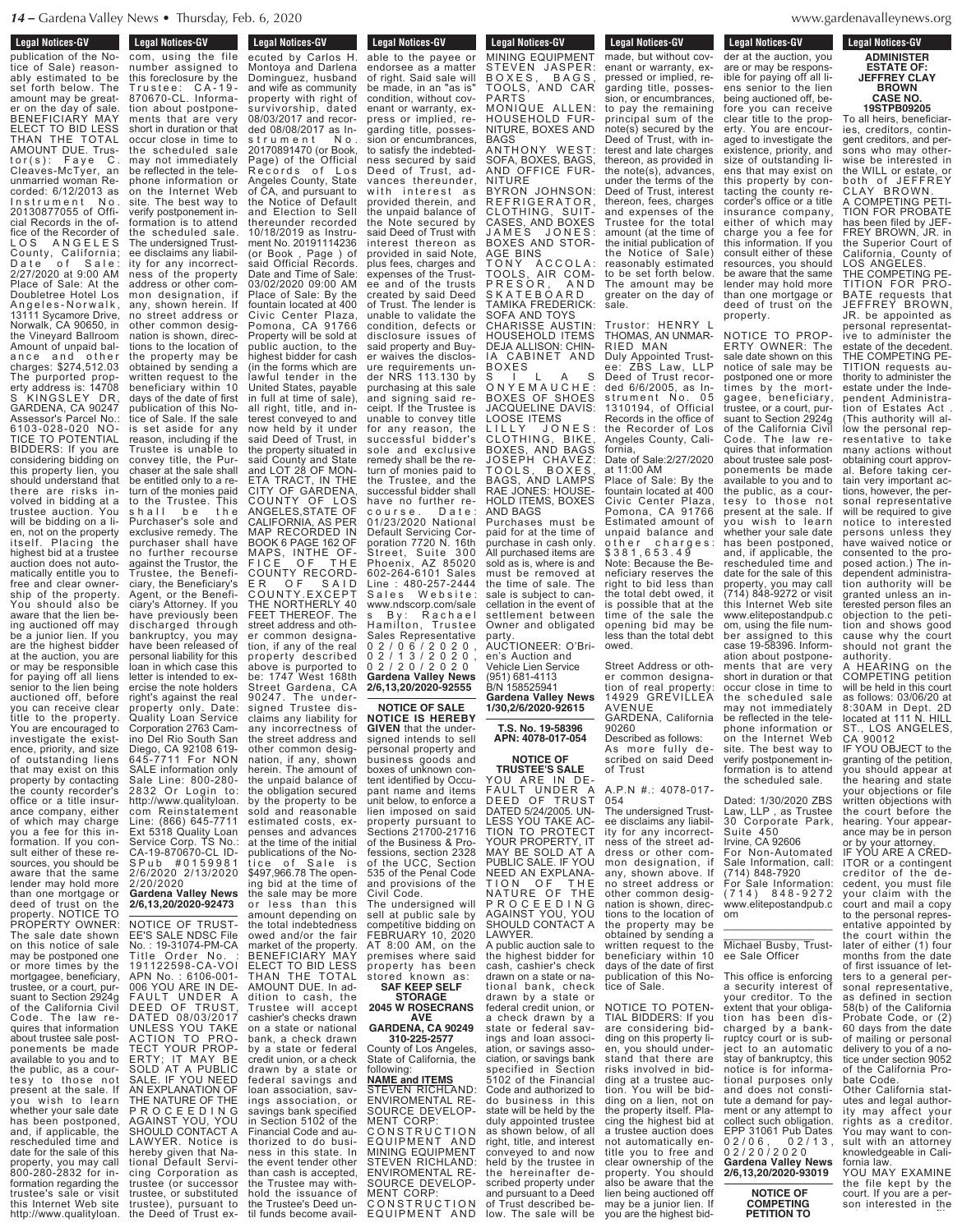**Example 1** Legal Notices-GV

**Legal Nutices-GV** 

publication of the Notice of Sale) reasonably estimated to be set forth below. The amount may be greater on the day of sale. BENEFICIARY MAY ELECT TO BID LESS THAN THE TOTAL AMOUNT DUE. Trustor(s): Faye C. Cleaves-McTyer, an unmarried woman Recorded: 6/12/2013 as Instrument No. 20130877055 of Official Records in the office of the Recorder of LOS ANGELES County, Cal ifornia; Date of Sale: 2/27/2020 at 9:00 AM Place of Sale: At the Doubletree Hotel Los A n g e l e s - N o r w a l k , 13111 Sycamore Drive, Norwalk, CA 90650, in the Vineyard Ballroom Amount of unpaid balance and other charges: \$274,512.03 The purported property address is: 14708 S KINGSLEY DR, GARDENA, CA 90247 Assessor's Parcel No.: 6103-028-020 NO-TICE TO POTENTIAL BIDDERS: If you are considering bidding on this property lien, you should understand that there are risks involved in bidding at a trustee auction. You will be bidding on a lien, not on the property itself. Placing the highest bid at a trustee auction does not automatically entitle you to free and clear ownership of the property. You should also be aware that the lien being auctioned off may be a junior lien. If you are the highest bidder at the auction, you are or may be responsible for paying off all liens senior to the lien being auctioned off, before you can receive clear title to the property. You are encouraged to investigate the existence, priority, and size of outstanding liens that may exist on this property by contacting the county recorder's office or a title insurance company, either of which may charge you a fee for this information. If you consult either of these resources, you should be aware that the same lender may hold more than one mortgage or deed of trust on the property. NOTICE TO PROPERTY OWNER: The sale date shown on this notice of sale may be postponed one or more times by the mortgagee, beneficiary, trustee, or a court, pursuant to Section 2924g of the California Civil Code. The law requires that information about trustee sale postponements be made available to you and to the public, as a courtesy to those not present at the sale. If you wish to learn whether your sale date has been postponed, and, if applicable, the rescheduled time and date for the sale of this property, you may call 800-280-2832 for information regarding the trustee's sale or visit

this Internet Web site http://www.qualityloan.

**Legal Notices-GV Legal Nutries-GV** com, using the file number assigned to this foreclosure by the T r u s t e e : C A - 1 9 - 870670-CL. Information about postponements that are very short in duration or that occur close in time to the scheduled sale may not immediately be reflected in the telephone information or on the Internet Web site. The best way to verify postponement information is to attend the scheduled sale. The undersigned Trustee disclaims any liability for any incorrectness of the property address or other common designation, if any, shown herein. If no street address or other common designation is shown, direc tions to the location of the property may be obtained by sending a written request to the beneficiary within 10 days of the date of first publication of this Notice of Sale. If the sale is set aside for any reason, including if the Trustee is unable to convey title, the Purchaser at the sale shall be entitled only to a return of the monies paid to the Trustee. This shall be the Purchaser's sole and exclusive remedy. The purchaser shall have no further recourse against the Trustor, the Trustee, the Beneficiary, the Beneficiary's Agent, or the Beneficiary's Attorney. If you have previously been discharged through bankruptcy, you may have been released of personal liability for this loan in which case this letter is intended to exercise the note holders right's against the real property only. Date: Quality Loan Service Corporation 2763 Camino Del Rio South San Diego, CA 92108 619- 645-7711 For NON SALE information only Sale Line: 800-280- 2832 Or Login to: http://www.qualityloan. com Reinstatement Line: (866) 645-7711 Ext 5318 Quality Loan Service Corp. TS No.: CA-19-870670-CL ID-S P u b # 0 1 5 9 9 8 1 2/6/2020 2/13/2020 2/20/2020 **Gardena Valley News 2/6,13,20/2020-92473** NOTICE OF TRUST-EE'S SALE NDSC File No. : 19-31074-PM-CA **Legal Notices-GV** 

Title Order No. : 191122598-CA-VOI APN No. : 6106-001- 006 YOU ARE IN DE-FAULT UNDER A DEED OF TRUST, DATED 08/03/2017 UNLESS YOU TAKE ACTION TO PRO-TECT YOUR PROP-ERTY; IT MAY BE SOLD AT A PUBLIC SALE. IF YOU NEED AN EXPLANATION OF THE NATURE OF THE P R O C E E D I N G AGAINST YOU, YOU SHOULD CONTACT A LAWYER. Notice hereby given that National Default Servicing Corporation as trustee (or successor trustee, or substituted trustee), pursuant to<br>the Deed of Trust ex-

**Legal Nutries-GV** ecuted by Carlos H. Montoya and Darlena Dominguez, husband and wife as community property with right of survivorship, dated 08/03/2017 and recorded 08/08/2017 as ln-<br>strument No s t r u m e n t 20170891470 (or Book, Page) of the Official Records of Los Angeles County, State of CA, and pursuant to the Notice of Default and Election to Sell thereunder recorded 10/18/2019 as Instrument No. 20191114236 (or Book , Page ) of said Official Records. Date and Time of Sale: 03/02/2020 09:00 AM Place of Sale: By the fountain located at 400 Civic Center Plaza, Pomona, CA 91766 Property will be sold at public auction, to the highest bidder for cash (in the forms which are lawful tender in the United States, payable in full at time of sale), all right, title, and interest conveyed to and now held by it under said Deed of Trust, in the property situated in said County and State and LOT 28 OF MON-ETA TRACT, IN THE CITY OF GARDENA, COUNTY OF LOS ANGELES,STATE OF CALIFORNIA, AS PER MAP RECORDED IN BOOK 6 PAGE 162 OF MAPS, INTHE OF-FICE OF THE COUNTY RECORD-ER OF SAID C O U N TY.EX C EPT THE NORTHERLY 40<br>FEET THEREOF. The FEET THEREOF street address and other common designation, if any of the real property described above is purported to be: 1747 West 168th Street Gardena, CA 90247. The undersigned Trustee disclaims any liability for any incorrectness of the street address and other common designation, if any, shown herein. The amount of the unpaid balance of the obligation secured by the property to be sold and reasonable estimated costs, expenses and advances at the time of the initial publications of the Notice of Sale is \$497,966.78 The opening bid at the time of the sale may be more **Legal Notices-GV** Legal Nutles-GV

or less than this amount depending on the total indebtedness owed and/or the fair market of the property. BENEFICIARY MAY ELECT TO BID LESS THAN THE TOTAL AMOUNT DUE. In addition to cash, the Trustee will accept cashier's checks drawn on a state or national bank, a check drawn by a state or federal credit union, or a check drawn by a state or federal savings and loan association, savings association, or savings bank specified in Section 5102 of the Financial Code and authorized to do business in this state. In the event tender other than cash is accepted, the Trustee may withhold the issuance of the Trustee's Deed until funds become avail-<br> MENT CORP:

able to the payee or endorsee as a matter of right. Said sale will be made, in an "as is" condition, without covenant or warranty, express or implied, regarding title, possession or encumbrances, to satisfy the indebtedness secured by said Deed of Trust, advances thereunder, with interest  $as$ provided therein, and the unpaid balance of the Note secured by said Deed of Trust with interest thereon as provided in said Note, plus fees, charges and expenses of the Trustee and of the trusts created by said Deed of Trust. The lender is unable to validate the condition, defects or disclosure issues of said property and Buyer waives the disclosure requirements un-NRS 113.130 by purchasing at this sale and signing said receipt. If the Trustee is unable to convey title for any reason, the successful bidder's sole and exclusive remedy shall be the return of monies paid to the Trustee, and the successful bidder shall have no further recourse. Date: 01/23/2020 National Default Servicing Corporation 7720 N. 16th Street, Suite 300 Phoenix, AZ 85020 602-264-6101 Sales **Line : 480-257-2444**<br>Sales Website:  $W$  e  $b$  s i t e www.ndscorp.com/sale s By: F<br>Hamilton, mp.com.com<br>Rachael<br>Trustee Sales Representative 0 2 / 0 6 / 2 0 2 0 , 0 2 / 1 3 / 2 0 2 0 , 0 2 / 2 0 / 2 0 2 0 **Gardena Valley News 2/6,13,20/2020-92555**

**NOTICE OF SALE NOTICE IS HEREBY GIVEN** that the undersigned intends to sell personal property and business goods and boxes of unknown content identified by Occupant name and items unit below, to enforce a lien imposed on said property pursuant to Sections 21700-21716 of the Business & Professions, section 2328 of the UCC, Section 535 of the Penal Code and provisions of the Civil Code. The undersigned will

sell at public sale by competitive bidding on FEBRUARY 10, 2020 AT 8:00 AM, on the premises where said property has been stored known as:

**SAF KEEP SELF STORAGE 2045 W ROSECRANS**

**AVE GARDENA, CA 90249 310-225-2577**

County of Los Angeles, State of California, the following:

#### **NAME and ITEMS** STEVEN RICHLAND: ENVIROMENTAL RE-SOURCE DEVELOP-MENT CORP: C O N S T R U C T I O N EQUIPMENT AND MINING EQUIPMENT STEVEN RICHLAND: ENVIROMENTAL RES DEVELOP-

C O N S T R U C T I O N EQUIPMENT AND MINING EQUIPMENT

MINING EQUIPMENT STEVEN JASPER: BOXES, BAGS TOOLS, AND CAR PARTS MONIQUE ALLEN: HOUSEHOLD FUR-NITURE, BOXES AND BAGS ANTHONY WEST: SOFA, BOXES, BAGS, AND OFFICE FUR-NITURE BYRON JOHNSON: BHRON COMMODING CLOTHING, SUIT-CASES, AND BOXES J A M E S J O N E S : BOXES AND STOR-AGE BINS TONY ACCOLA: TOOLS, AIR COM-P R E S O R , A N D S K A T E B O A R D TAMIKA FREDERICK: SOFA AND TOYS CHARISSE AUSTIN: HOUSEHOLD ITEMS DEJA ALLISON: CHIN-IA CABINET AND BOXES S I L A S

**Legal Notices-GV** Equal Nutrices-av

O N Y E M A U C H E : BOXES OF SHOES JACQUELINE DAVIS: LOOSE ITEMS LILLY JONES: CLOTHING, BIKE, BOXES, AND BAGS JOSEPH CHAVEZ: TOOLS, BOXES, BAGS, AND LAMPS RAE JONES: HOUSE-HOLD ITEMS, BOXES AND BAGS Purchases must be paid for at the time of purchase in cash only. All purchased items are sold as is, where is and must be removed at the time of sale. The

sale is subject to cancellation in the event of settlement between Owner and obligated party. AUCTIONEER: O'Brien's Auction and Vehicle Lien Service (951) 681-4113 B/N 158525941

**Gardena Valley News 1/30,2/6/2020-92615**

**T.S. No. 19-58396 APN: 4078-017-054**

**NOTICE OF TRUSTEE'S SALE**

YOU ARE IN DE-FAULT UNDER A DEED OF TRUST DATED 5/24/2005. UN-LESS YOU TAKE AC-TION TO PROTECT YOUR PROPERTY, IT MAY BE SOLD AT A PUBLIC SALE. IF YOU NEED AN EXPLANA-TION OF THE NATURE OF THE P R O C E E D I N G AGAINST YOU, YOU SHOULD CONTACT A LAWYER. A public auction sale to the highest bidder for cash, cashier's check drawn on a state or national bank, check drawn by a state or federal credit union, or a check drawn by a state or federal savings and loan association, or savings association, or savings bank specified in Section 5102 of the Financial Code and authorized to do business in this state will be held by the duly appointed trustee as shown below, of all right, title, and interest conveyed to and now held by the trustee in the hereinafter described property under

and pursuant to a Deed of Trust described below. The sale will be

made, but without covenant or warranty, expressed or implied, regarding title, possession, or encumbrances, to pay the remaining principal sum of the note(s) secured by the Deed of Trust, with interest and late charges thereon, as provided in the note(s), advances, under the terms of the Deed of Trust, interest thereon, fees, charges and expenses of the Trustee for the total amount (at the time of the initial publication of the Notice of Sale) reasonably estimated to be set forth below. The amount may be greater on the day of sale.

**Legal Notices-GV** Legal Nutres-GV

Trustor: HENRY L THOMAS, AN UNMAR-RIED MAN Duly Appointed Trustee: ZBS Law, LLP Deed of Trust recorded 6/6/2005, as Instrument No. 05 1310194, of Official Records in the office of the Recorder of Los Angeles County, California. Date of Sale:2/27/2020

at 11:00 AM Place of Sale: By the fountain located at 400 Civic Center Plaza, Pomona, CA 91766 Estimated amount of unpaid balance and o ther charges: \$ 3 8 1 , 6 5 3 . 4 9 Note: Because the Beneficiary reserves the right to bid less than the total debt owed, it is possible that at the time of the sale the opening bid may be less than the total debt owed.

Street Address or other common designation of real property: 14929 GREVILLEA AVENUE GARDENA, California 90260

Described as follows: As more fully described on said Deed of Trust

A.P.N #.: 4078-017- 054

> Suite 450 Irvine, CA 92606 For Non-Automated Sale Information, call: (714) 848-7920 For Sale Information: ( 7 1 4 ) 8 4 8 - 9 2 7 2 www.elitepostandpub.c

\_\_\_\_\_\_\_\_\_\_\_\_\_\_\_\_\_\_  $\overline{\phantom{a}}$  , where  $\overline{\phantom{a}}$ Michael Busby, Trustee Sale Officer

This office is enforcing a security interest of your creditor. To the extent that your obligation has been discharged by a bankruptcy court or is subject to an automatic stay of bankruptcy, this notice is for informational purposes only and does not constitute a demand for payment or any attempt to collect such obligation. EPP 31061 Pub Dates 0 2 / 0 6 , 0 2 / 1 3 , 0 2 / 2 0 / 2 0 2 0 **Gardena Valley News 2/6,13,20/2020-93019 NOTICE OF COMPETING PETITION TO ADMINISTER**

om

The undersigned Trustee disclaims any liability for any incorrectness of the street address or other common designation, if any, shown above. If no street address or other common desig-nation is shown, directions to the location of the property may be obtained by sending a written request to the beneficiary within 10 days of the date of first publication of this Notice of Sale.

NOTICE TO POTEN-TIAL BIDDERS: If you are considering bidding on this property lien, you should understand that there are<br>risks involved in bidding at a trustee auction. You will be bidding on a lien, not on the property itself. Placing the highest bid at a trustee auction does not automatically entitle you to free and clear ownership of the property. You should also be aware that the lien being auctioned off may be a junior lien. If you are the highest bid-<br>

**Legal Notices-GV** mongata entrancyments **Legal Notices-GV COMPETING**

Legal Nutres-GV der at the auction, you are or may be responsible for paying off all li-**PETITION TO ADMINISTER ESTATE OF:**

also be aware that the set of the theorem is not the the theorem of the theorem is  $\alpha$ 

ens senior to the lien being auctioned off, before you can receive clear title to the property. You are encouraged to investigate the existence, priority, and size of outstanding liens that may exist on this property by contacting the county recorder's office or a title insurance company, either of which may charge you a fee for this information. If you consult either of these resources, you should be aware that the same lender may hold more than one mortgage or deed of trust on the

property.

NOTICE TO PROP-ERTY OWNER: The sale date shown on this notice of sale may be postponed one or more times by the mortgagee, beneficiary, trustee, or a court, pursuant to Section 2924g of the California Civil Code. The law requires that information about trustee sale postponements be made available to you and to the public, as a courtesy to those not present at the sale. If you wish to learn whether your sale date has been postponed. and, if applicable, the rescheduled time and date for the sale of this property, you may call (714) 848-9272 or visit this Internet Web site www.elitepostandpub.c om, using the file number assigned to this case 19-58396. Information about postponements that are very short in duration or that occur close in time to the scheduled sale may not immediately be reflected in the telephone information or on the Internet Web site. The best way to verify postponement information is to attend the scheduled sale. Dated: 1/30/2020 ZBS Law, LLP , as Trustee 30 Corporate Park,

**JEFFREY CLAY BROWN CASE NO. 19STPB09205** To all heirs, beneficiar-

ies, creditors, contingent creditors, and persons who may otherwise be interested in the WILL or estate, or both of JEFFREY CLAY BROWN. A COMPETING PETI-TION FOR PROBATE has been filed by JEF-FREY BROWN, JR. in the Superior Court of California, County of LOS ANGELES.

THE COMPETING PE-TITION FOR PRO-BATE requests that JEFFREY BROWN, JR. be appointed as personal representative to administer the estate of the decedent. THE COMPETING PE-TITION requests authority to administer the estate under the Independent Administration of Estates Act . (This authority will allow the personal representative to take many actions without obtaining court approval. Before taking certain very important actions, however, the personal representative will be required to give notice to interested persons unless they have waived notice or consented to the proposed action.) The independent administration authority will be granted unless an interested person files an objection to the petition and shows good cause why the court should not grant the

authority. A HEARING on the COMPETING petition will be held in this court as follows: 03/06/20 at 8:30AM in Dept. 2D located at 111 N. HILL ST., LOS ANGELES, CA 90012

IF YOU OBJECT to the granting of the petition, you should appear at the hearing and state your objections or file written objections with the court before the hearing. Your appearance may be in person or by your attorney.

IF YOU ARE A CRED-ITOR or a contingent creditor of the decedent, you must file your claim with the court and mail a copy to the personal representative appointed by the court within the later of either (1) four months from the date of first issuance of letters to a general personal representative, as defined in section 58(b) of the California Probate Code, or (2) 60 days from the date of mailing or personal delivery to you of a notice under section 9052 of the California Pro-

bate Code. Other California statutes and legal authority may affect your rights as a creditor. You may want to consult with an attorney knowledgeable in California law.

YOU MAY EXAMINE the file kept by the court. If you are a person interested in the

estate, you may file